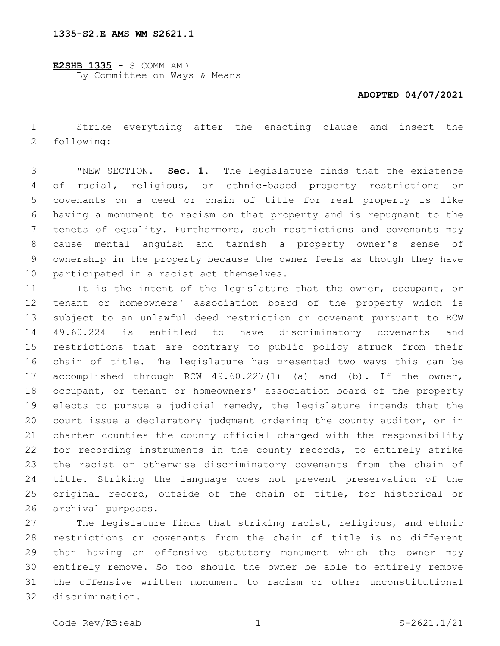**E2SHB 1335** - S COMM AMD By Committee on Ways & Means

## **ADOPTED 04/07/2021**

 Strike everything after the enacting clause and insert the 2 following:

 "NEW SECTION. **Sec. 1.** The legislature finds that the existence of racial, religious, or ethnic-based property restrictions or covenants on a deed or chain of title for real property is like having a monument to racism on that property and is repugnant to the tenets of equality. Furthermore, such restrictions and covenants may cause mental anguish and tarnish a property owner's sense of ownership in the property because the owner feels as though they have participated in a racist act themselves.

11 It is the intent of the legislature that the owner, occupant, or tenant or homeowners' association board of the property which is subject to an unlawful deed restriction or covenant pursuant to RCW 49.60.224 is entitled to have discriminatory covenants and restrictions that are contrary to public policy struck from their chain of title. The legislature has presented two ways this can be accomplished through RCW 49.60.227(1) (a) and (b). If the owner, occupant, or tenant or homeowners' association board of the property elects to pursue a judicial remedy, the legislature intends that the court issue a declaratory judgment ordering the county auditor, or in charter counties the county official charged with the responsibility for recording instruments in the county records, to entirely strike the racist or otherwise discriminatory covenants from the chain of title. Striking the language does not prevent preservation of the original record, outside of the chain of title, for historical or 26 archival purposes.

 The legislature finds that striking racist, religious, and ethnic restrictions or covenants from the chain of title is no different than having an offensive statutory monument which the owner may entirely remove. So too should the owner be able to entirely remove the offensive written monument to racism or other unconstitutional 32 discrimination.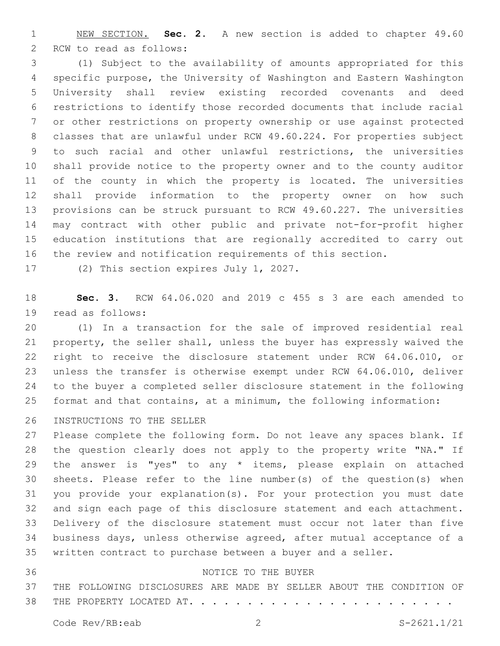NEW SECTION. **Sec. 2.** A new section is added to chapter 49.60 2 RCW to read as follows:

 (1) Subject to the availability of amounts appropriated for this specific purpose, the University of Washington and Eastern Washington University shall review existing recorded covenants and deed restrictions to identify those recorded documents that include racial or other restrictions on property ownership or use against protected classes that are unlawful under RCW 49.60.224. For properties subject to such racial and other unlawful restrictions, the universities shall provide notice to the property owner and to the county auditor of the county in which the property is located. The universities shall provide information to the property owner on how such provisions can be struck pursuant to RCW 49.60.227. The universities may contract with other public and private not-for-profit higher education institutions that are regionally accredited to carry out the review and notification requirements of this section.

17 (2) This section expires July 1, 2027.

 **Sec. 3.** RCW 64.06.020 and 2019 c 455 s 3 are each amended to 19 read as follows:

 (1) In a transaction for the sale of improved residential real property, the seller shall, unless the buyer has expressly waived the right to receive the disclosure statement under RCW 64.06.010, or unless the transfer is otherwise exempt under RCW 64.06.010, deliver to the buyer a completed seller disclosure statement in the following format and that contains, at a minimum, the following information:

26 INSTRUCTIONS TO THE SELLER

 Please complete the following form. Do not leave any spaces blank. If the question clearly does not apply to the property write "NA." If 29 the answer is "yes" to any \* items, please explain on attached sheets. Please refer to the line number(s) of the question(s) when you provide your explanation(s). For your protection you must date and sign each page of this disclosure statement and each attachment. Delivery of the disclosure statement must occur not later than five business days, unless otherwise agreed, after mutual acceptance of a written contract to purchase between a buyer and a seller.

## 36 NOTICE TO THE BUYER

THE FOLLOWING DISCLOSURES ARE MADE BY SELLER ABOUT THE CONDITION OF

38 THE PROPERTY LOCATED AT. . . . . . . . . . . . .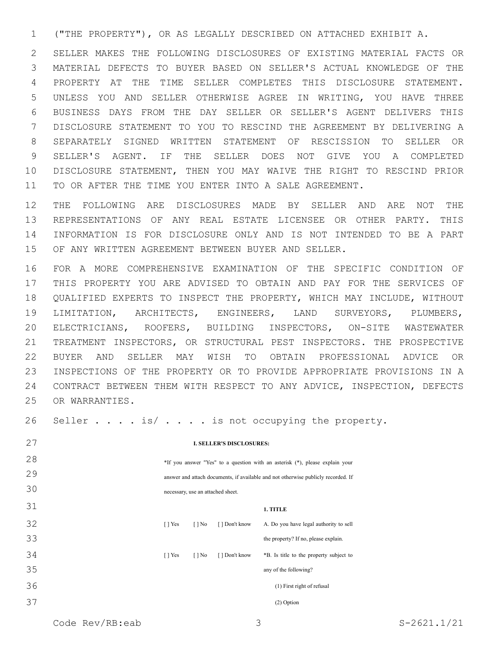("THE PROPERTY"), OR AS LEGALLY DESCRIBED ON ATTACHED EXHIBIT A.

 SELLER MAKES THE FOLLOWING DISCLOSURES OF EXISTING MATERIAL FACTS OR MATERIAL DEFECTS TO BUYER BASED ON SELLER'S ACTUAL KNOWLEDGE OF THE PROPERTY AT THE TIME SELLER COMPLETES THIS DISCLOSURE STATEMENT. UNLESS YOU AND SELLER OTHERWISE AGREE IN WRITING, YOU HAVE THREE BUSINESS DAYS FROM THE DAY SELLER OR SELLER'S AGENT DELIVERS THIS DISCLOSURE STATEMENT TO YOU TO RESCIND THE AGREEMENT BY DELIVERING A SEPARATELY SIGNED WRITTEN STATEMENT OF RESCISSION TO SELLER OR SELLER'S AGENT. IF THE SELLER DOES NOT GIVE YOU A COMPLETED DISCLOSURE STATEMENT, THEN YOU MAY WAIVE THE RIGHT TO RESCIND PRIOR TO OR AFTER THE TIME YOU ENTER INTO A SALE AGREEMENT.

 THE FOLLOWING ARE DISCLOSURES MADE BY SELLER AND ARE NOT THE REPRESENTATIONS OF ANY REAL ESTATE LICENSEE OR OTHER PARTY. THIS INFORMATION IS FOR DISCLOSURE ONLY AND IS NOT INTENDED TO BE A PART OF ANY WRITTEN AGREEMENT BETWEEN BUYER AND SELLER.

 FOR A MORE COMPREHENSIVE EXAMINATION OF THE SPECIFIC CONDITION OF THIS PROPERTY YOU ARE ADVISED TO OBTAIN AND PAY FOR THE SERVICES OF QUALIFIED EXPERTS TO INSPECT THE PROPERTY, WHICH MAY INCLUDE, WITHOUT LIMITATION, ARCHITECTS, ENGINEERS, LAND SURVEYORS, PLUMBERS, ELECTRICIANS, ROOFERS, BUILDING INSPECTORS, ON-SITE WASTEWATER TREATMENT INSPECTORS, OR STRUCTURAL PEST INSPECTORS. THE PROSPECTIVE BUYER AND SELLER MAY WISH TO OBTAIN PROFESSIONAL ADVICE OR INSPECTIONS OF THE PROPERTY OR TO PROVIDE APPROPRIATE PROVISIONS IN A CONTRACT BETWEEN THEM WITH RESPECT TO ANY ADVICE, INSPECTION, DEFECTS 25 OR WARRANTIES.

26 Seller . . . . is/ . . . . is not occupying the property.

| 27 | <b>I. SELLER'S DISCLOSURES:</b>                                                   |                          |                |                                         |  |  |  |
|----|-----------------------------------------------------------------------------------|--------------------------|----------------|-----------------------------------------|--|--|--|
| 28 | *If you answer "Yes" to a question with an asterisk (*), please explain your      |                          |                |                                         |  |  |  |
| 29 | answer and attach documents, if available and not otherwise publicly recorded. If |                          |                |                                         |  |  |  |
| 30 | necessary, use an attached sheet.                                                 |                          |                |                                         |  |  |  |
| 31 |                                                                                   |                          |                | 1. TITLE                                |  |  |  |
| 32 | $\lceil \cdot \rceil$ Yes                                                         | $[$   No                 | [] Don't know  | A. Do you have legal authority to sell  |  |  |  |
| 33 |                                                                                   |                          |                | the property? If no, please explain.    |  |  |  |
| 34 | $\lceil \cdot \rceil$ Yes                                                         | $\lceil \cdot \rceil$ No | [ ] Don't know | *B. Is title to the property subject to |  |  |  |
| 35 |                                                                                   |                          |                | any of the following?                   |  |  |  |
| 36 |                                                                                   |                          |                | (1) First right of refusal              |  |  |  |
| 37 | (2) Option                                                                        |                          |                |                                         |  |  |  |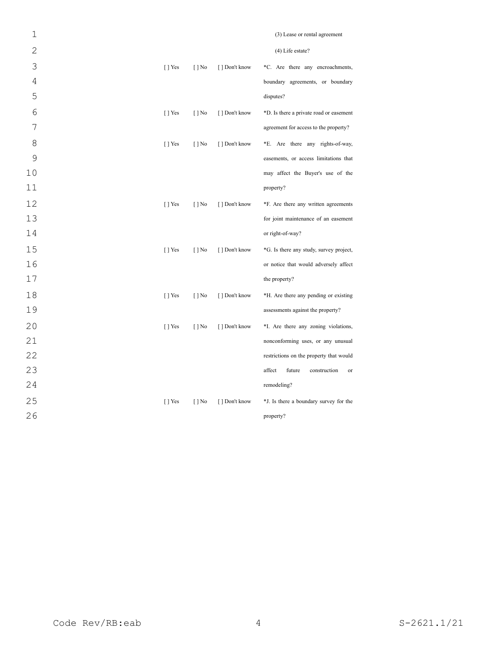| $\mathbf{1}$   |                           |                          |                | (3) Lease or rental agreement           |
|----------------|---------------------------|--------------------------|----------------|-----------------------------------------|
| $\overline{2}$ |                           |                          |                | (4) Life estate?                        |
| 3              | [] Yes                    | $\lceil \cdot \rceil$ No | [ ] Don't know | *C. Are there any encroachments,        |
| $\sqrt{4}$     |                           |                          |                | boundary agreements, or boundary        |
| 5              |                           |                          |                | disputes?                               |
| 6              | $\lceil$   Yes            | $[$   No                 | [ ] Don't know | *D. Is there a private road or easement |
| 7              |                           |                          |                | agreement for access to the property?   |
| 8              | $\lceil$   Yes            | $[$   No                 | [] Don't know  | *E. Are there any rights-of-way,        |
| 9              |                           |                          |                | easements, or access limitations that   |
| 10             |                           |                          |                | may affect the Buyer's use of the       |
| 11             |                           |                          |                | property?                               |
| 12             | $\lceil \cdot \rceil$ Yes | $[$   No                 | [] Don't know  | *F. Are there any written agreements    |
| 13             |                           |                          |                | for joint maintenance of an easement    |
| 14             |                           |                          |                | or right-of-way?                        |
| 15             | $\lceil$   Yes            | $[$   No                 | [ ] Don't know | *G. Is there any study, survey project, |
| 16             |                           |                          |                | or notice that would adversely affect   |
| 17             |                           |                          |                | the property?                           |
| 18             | $[$ T Yes                 | $\lceil \cdot \rceil$ No | [ ] Don't know | *H. Are there any pending or existing   |
| 19             |                           |                          |                | assessments against the property?       |
| 20             | [ ] Yes                   | $[$   No                 | [ ] Don't know | *I. Are there any zoning violations,    |
| 21             |                           |                          |                | nonconforming uses, or any unusual      |
| 22             |                           |                          |                | restrictions on the property that would |
| 23             |                           |                          |                | affect<br>future<br>construction<br>or  |
| 24             |                           |                          |                | remodeling?                             |
| 25             | [] Yes                    | $[$   No                 | [ ] Don't know | *J. Is there a boundary survey for the  |
| 26             |                           |                          |                | property?                               |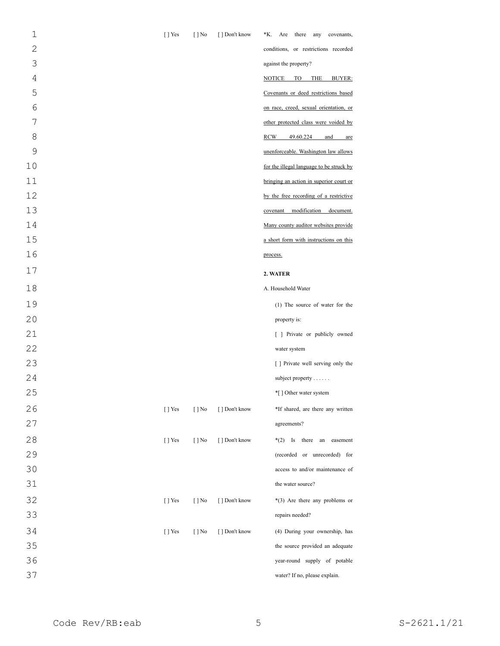| $\mathbf 1$ | $[ ]$ Yes      | $\lceil \cdot \rceil$ No | [ ] Don't know | *K.<br>Are<br>there<br>any<br>covenants,           |
|-------------|----------------|--------------------------|----------------|----------------------------------------------------|
| 2           |                |                          |                | conditions, or restrictions recorded               |
| 3           |                |                          |                | against the property?                              |
| 4           |                |                          |                | <b>THE</b><br><b>BUYER:</b><br><b>NOTICE</b><br>TO |
| 5           |                |                          |                | Covenants or deed restrictions based               |
| 6           |                |                          |                | on race, creed, sexual orientation, or             |
| 7           |                |                          |                | other protected class were voided by               |
| 8           |                |                          |                | RCW<br>49.60.224<br>and<br>are                     |
| 9           |                |                          |                | unenforceable. Washington law allows               |
| 10          |                |                          |                | for the illegal language to be struck by           |
| 11          |                |                          |                | bringing an action in superior court or            |
| 12          |                |                          |                | by the free recording of a restrictive             |
| 13          |                |                          |                | covenant modification document.                    |
| 14          |                |                          |                | Many county auditor websites provide               |
| 15          |                |                          |                | a short form with instructions on this             |
| 16          |                |                          |                | process.                                           |
| 17          |                |                          |                | 2. WATER                                           |
| 18          |                |                          |                | A. Household Water                                 |
| 19          |                |                          |                | (1) The source of water for the                    |
| 20          |                |                          |                | property is:                                       |
| 21          |                |                          |                | [ ] Private or publicly owned                      |
| 22          |                |                          |                | water system                                       |
| 23          |                |                          |                | [ ] Private well serving only the                  |
| 24          |                |                          |                | subject property $\ldots$ .                        |
| 25          |                |                          |                | *[] Other water system                             |
| 26          | $[$ T Yes      | $[ ]$ No                 | [] Don't know  | *If shared, are there any written                  |
| 27          |                |                          |                | agreements?                                        |
| 28          | $\lceil$   Yes | $[$ ] No                 | [] Don't know  | $*(2)$ Is there an easement                        |
| 29          |                |                          |                | (recorded or unrecorded) for                       |
| 30          |                |                          |                | access to and/or maintenance of                    |
| 31          |                |                          |                | the water source?                                  |
| 32          | $[$ T Yes      | $[ ]$ No                 | [ ] Don't know | $*(3)$ Are there any problems or                   |
| 33          |                |                          |                | repairs needed?                                    |
| 34          | $[$ T Yes      | $[ ]$ No                 | [] Don't know  | (4) During your ownership, has                     |
| 35          |                |                          |                | the source provided an adequate                    |
| 36          |                |                          |                | year-round supply of potable                       |
| 37          |                |                          |                | water? If no, please explain.                      |
|             |                |                          |                |                                                    |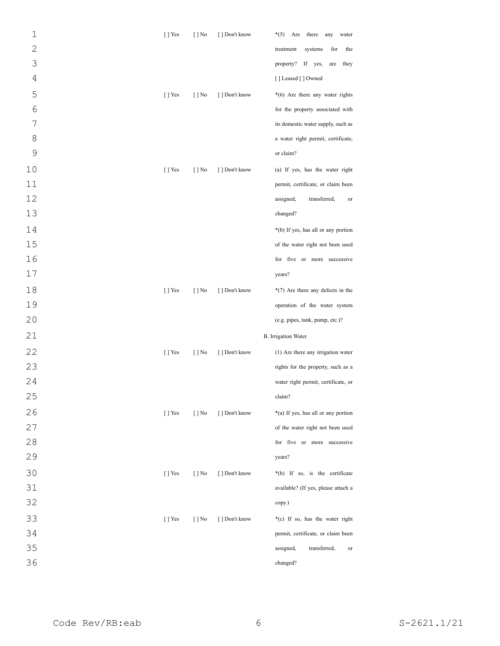| $\mathbf{1}$   | $[$ T Yes                 | $[ ]$ No | [ ] Don't know | $*(5)$ Are there any<br>water       |
|----------------|---------------------------|----------|----------------|-------------------------------------|
| $\overline{c}$ |                           |          |                | treatment<br>systems<br>for<br>the  |
| 3              |                           |          |                | property?<br>If yes,<br>are<br>they |
| $\overline{4}$ |                           |          |                | [] Leased [] Owned                  |
| 5              | $[$ ] Yes                 | $[ ]$ No | [] Don't know  | *(6) Are there any water rights     |
| $\sqrt{6}$     |                           |          |                | for the property associated with    |
| 7              |                           |          |                | its domestic water supply, such as  |
| 8              |                           |          |                | a water right permit, certificate,  |
| 9              |                           |          |                | or claim?                           |
| 10             | $[$ T Yes                 | $[ ]$ No | [ ] Don't know | (a) If yes, has the water right     |
| 11             |                           |          |                | permit, certificate, or claim been  |
| 12             |                           |          |                | transferred,<br>assigned,<br>or     |
| 13             |                           |          |                | changed?                            |
| 14             |                           |          |                | *(b) If yes, has all or any portion |
| 15             |                           |          |                | of the water right not been used    |
| 16             |                           |          |                | for five or more successive         |
| $17$           |                           |          |                | years?                              |
| 18             | $[$ T Yes                 | $[ ]$ No | [] Don't know  | $*(7)$ Are there any defects in the |
| 19             |                           |          |                | operation of the water system       |
| 20             |                           |          |                | (e.g. pipes, tank, pump, etc.)?     |
| 21             |                           |          |                | <b>B.</b> Irrigation Water          |
| 22             | [] Yes                    | $[$   No | [ ] Don't know | (1) Are there any irrigation water  |
| 23             |                           |          |                | rights for the property, such as a  |
| 24             |                           |          |                | water right permit, certificate, or |
| 25             |                           |          |                | claim?                              |
| 26             | $[$ T Yes                 | $[ ]$ No | [ ] Don't know | *(a) If yes, has all or any portion |
| 27             |                           |          |                | of the water right not been used    |
| 28             |                           |          |                | for five or more successive         |
| 29             |                           |          |                | years?                              |
| 30             | $\lceil \cdot \rceil$ Yes | $[ ]$ No | [ ] Don't know | *(b) If so, is the certificate      |
| 31             |                           |          |                | available? (If yes, please attach a |
| 32             |                           |          |                | copy.)                              |
| 33             | $[$ T Yes                 | $[ ]$ No | [ ] Don't know | *(c) If so, has the water right     |
| 34             |                           |          |                | permit, certificate, or claim been  |
| 35             |                           |          |                | transferred,<br>assigned,<br>or     |
| 36             |                           |          |                | changed?                            |
|                |                           |          |                |                                     |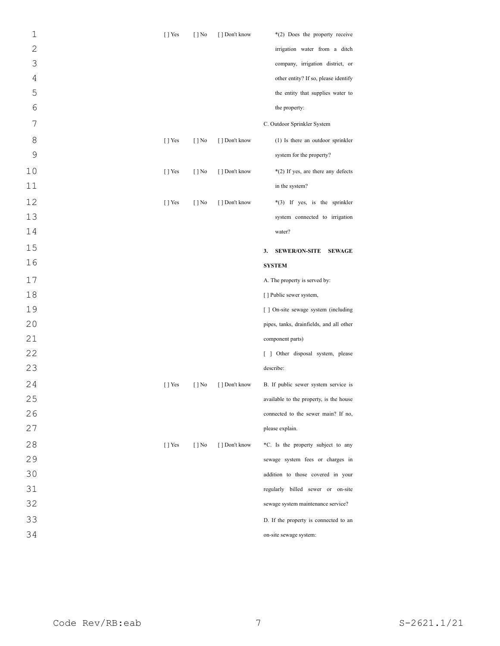| $\mathbf 1$  | [] Yes         | $[ ]$ No | [ ] Don't know | *(2) Does the property receive              |
|--------------|----------------|----------|----------------|---------------------------------------------|
| $\mathbf{2}$ |                |          |                | irrigation water from a ditch               |
| 3            |                |          |                | company, irrigation district, or            |
| $\sqrt{4}$   |                |          |                | other entity? If so, please identify        |
| 5            |                |          |                | the entity that supplies water to           |
| 6            |                |          |                | the property:                               |
| 7            |                |          |                | C. Outdoor Sprinkler System                 |
| 8            | $[ ]$ Yes      | $[ ]$ No | [ ] Don't know | (1) Is there an outdoor sprinkler           |
| 9            |                |          |                | system for the property?                    |
| 10           | $[ ]$ Yes      | $[$   No | [ ] Don't know | *(2) If yes, are there any defects          |
| 11           |                |          |                | in the system?                              |
| 12           | $[ ]$ Yes      | $[$   No | [] Don't know  | *(3) If yes, is the sprinkler               |
| 13           |                |          |                | system connected to irrigation              |
| 14           |                |          |                | water?                                      |
| 15           |                |          |                | <b>SEWER/ON-SITE</b><br><b>SEWAGE</b><br>3. |
| 16           |                |          |                | <b>SYSTEM</b>                               |
| 17           |                |          |                | A. The property is served by:               |
| 18           |                |          |                | [] Public sewer system,                     |
| 19           |                |          |                | [ ] On-site sewage system (including        |
| 20           |                |          |                | pipes, tanks, drainfields, and all other    |
| 21           |                |          |                | component parts)                            |
| 22           |                |          |                | [ ] Other disposal system, please           |
| 23           |                |          |                | describe:                                   |
| 24           | $\lceil$   Yes | $[ ]$ No | [ ] Don't know | B. If public sewer system service is        |
| 25           |                |          |                | available to the property, is the house     |
| 26           |                |          |                | connected to the sewer main? If no,         |
| 27           |                |          |                | please explain.                             |
| 28           | [] Yes         | $[$   No | [ ] Don't know | *C. Is the property subject to any          |
| 29           |                |          |                | sewage system fees or charges in            |
| 30           |                |          |                | addition to those covered in your           |
| 31           |                |          |                | regularly billed sewer or on-site           |
| 32           |                |          |                | sewage system maintenance service?          |
| 33           |                |          |                | D. If the property is connected to an       |
| 34           |                |          |                | on-site sewage system:                      |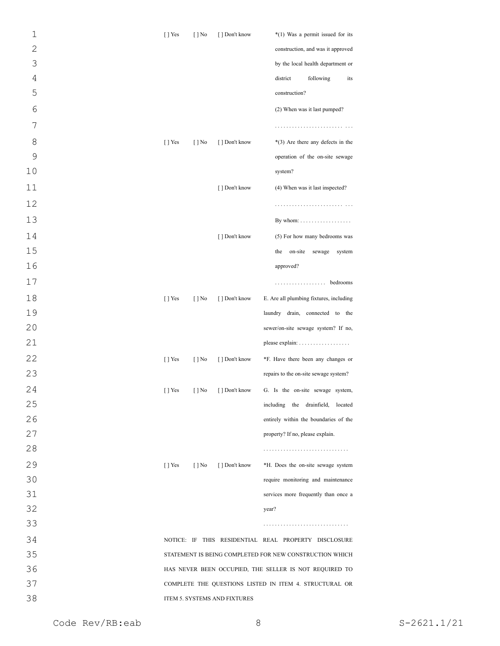| $\mathbf 1$    | $[$ T Yes             | $[ ]$ No                 | [ ] Don't know               | $*(1)$ Was a permit issued for its                      |
|----------------|-----------------------|--------------------------|------------------------------|---------------------------------------------------------|
| $\overline{c}$ |                       |                          |                              | construction, and was it approved                       |
| 3              |                       |                          |                              | by the local health department or                       |
| $\sqrt{4}$     |                       |                          |                              | district<br>following<br>its                            |
| 5              |                       |                          |                              | construction?                                           |
| 6              |                       |                          |                              | (2) When was it last pumped?                            |
| 7              |                       |                          |                              |                                                         |
| 8              | $[$ T Yes             | $[ ]$ No                 | [ ] Don't know               | $*(3)$ Are there any defects in the                     |
| 9              |                       |                          |                              | operation of the on-site sewage                         |
| 10             |                       |                          |                              | system?                                                 |
| 11             |                       |                          | [ ] Don't know               | (4) When was it last inspected?                         |
| 12             |                       |                          |                              |                                                         |
| 13             |                       |                          |                              | By whom: $\dots \dots \dots \dots \dots \dots$          |
| 14             |                       |                          | [ ] Don't know               | (5) For how many bedrooms was                           |
| 15             |                       |                          |                              | on-site<br>the<br>sewage<br>system                      |
| 16             |                       |                          |                              | approved?                                               |
| 17             |                       |                          |                              | . bedrooms                                              |
| 18             | $[$ T Yes             | $[ ]$ No                 | [ ] Don't know               | E. Are all plumbing fixtures, including                 |
| 19             |                       |                          |                              | laundry drain, connected to the                         |
| 20             |                       |                          |                              | sewer/on-site sewage system? If no,                     |
| 21             |                       |                          |                              |                                                         |
| 22             | $[$ T Yes             | $[ ]$ No                 | [ ] Don't know               | *F. Have there been any changes or                      |
| 23             |                       |                          |                              | repairs to the on-site sewage system?                   |
| 24             | $\left[\ \right]$ Yes | $[$ ] No                 | [ ] Don't know               | G. Is the on-site sewage system.                        |
| 25             |                       |                          |                              | including the drainfield, located                       |
| 26             |                       |                          |                              | entirely within the boundaries of the                   |
| 27             |                       |                          |                              | property? If no, please explain.                        |
| 28             |                       |                          |                              |                                                         |
| 29             | [ ] Yes               | $\lceil \cdot \rceil$ No | [ ] Don't know               | *H. Does the on-site sewage system                      |
| 30             |                       |                          |                              | require monitoring and maintenance                      |
| 31             |                       |                          |                              | services more frequently than once a                    |
| 32             |                       |                          |                              | year?                                                   |
| 33             |                       |                          |                              |                                                         |
| 34             |                       |                          |                              | NOTICE: IF THIS RESIDENTIAL REAL PROPERTY DISCLOSURE    |
| 35             |                       |                          |                              | STATEMENT IS BEING COMPLETED FOR NEW CONSTRUCTION WHICH |
| 36             |                       |                          |                              | HAS NEVER BEEN OCCUPIED, THE SELLER IS NOT REQUIRED TO  |
| 37             |                       |                          |                              | COMPLETE THE QUESTIONS LISTED IN ITEM 4. STRUCTURAL OR  |
| 38             |                       |                          | ITEM 5. SYSTEMS AND FIXTURES |                                                         |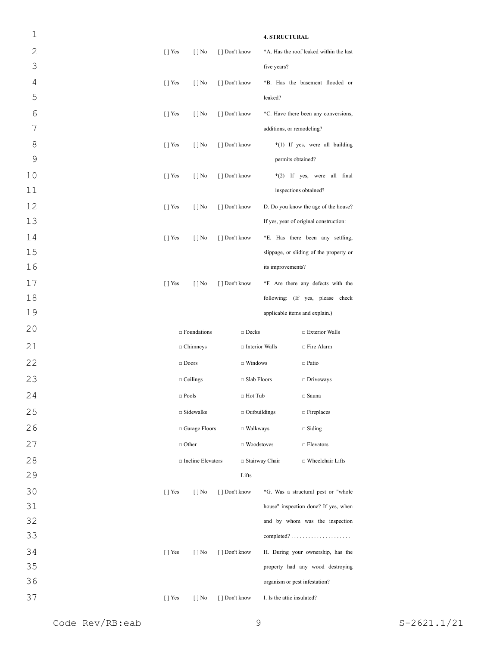| 1              |                |                          |                |                     | <b>4. STRUCTURAL</b>           |                                                        |
|----------------|----------------|--------------------------|----------------|---------------------|--------------------------------|--------------------------------------------------------|
| $\mathbf{2}$   | $[$ T Yes      | $[$   No                 | [ ] Don't know |                     |                                | *A. Has the roof leaked within the last                |
| 3              |                |                          |                |                     | five years?                    |                                                        |
| $\overline{4}$ | $[$ T Yes      | $[ ]$ No                 | [ ] Don't know |                     |                                | *B. Has the basement flooded or                        |
| 5              |                |                          |                |                     | leaked?                        |                                                        |
| 6              | $[$ ] Yes      | $[$ ] No                 | [] Don't know  |                     |                                | *C. Have there been any conversions,                   |
| 7              |                |                          |                |                     | additions, or remodeling?      |                                                        |
| 8              | $[$ T Yes      | $\lceil \cdot \rceil$ No | [ ] Don't know |                     |                                | *(1) If yes, were all building                         |
| 9              |                |                          |                |                     | permits obtained?              |                                                        |
| 10             | $[$ T Yes      | $[ ]$ No                 | [ ] Don't know |                     |                                | *(2) If yes, were all final                            |
| 11             |                |                          |                |                     | inspections obtained?          |                                                        |
| 12             | $[$ T Yes      | $[ ]$ No                 | [ ] Don't know |                     |                                | D. Do you know the age of the house?                   |
| 13             |                |                          |                |                     |                                | If yes, year of original construction:                 |
| 14             | $\lceil$   Yes | $[ ]$ No                 | [] Don't know  |                     |                                | *E. Has there been any settling,                       |
| 15             |                |                          |                |                     |                                | slippage, or sliding of the property or                |
| 16             |                |                          |                |                     | its improvements?              |                                                        |
| 17             | $[$ T Yes      | $[ ]$ No                 | [ ] Don't know |                     |                                | *F. Are there any defects with the                     |
| 18             |                |                          |                |                     |                                | following: (If yes, please check                       |
| 19             |                |                          |                |                     | applicable items and explain.) |                                                        |
| 20             |                | $\Box$ Foundations       |                | $\Box$ Decks        |                                | □ Exterior Walls                                       |
| 21             |                | $\Box$ Chimneys          |                | □ Interior Walls    |                                | $\Box$ Fire Alarm                                      |
| 22             |                | $\Box$ Doors             |                | $\Box$ Windows      |                                | $\Box$ Patio                                           |
| 23             |                | $\Box$ Ceilings          |                | $\Box$ Slab Floors  |                                | $\Box$ Driveways                                       |
| 24             |                | $\Box$ Pools             |                | $\Box$ Hot Tub      |                                | $\Box$ Sauna                                           |
| 25             |                | $\Box$ Sidewalks         |                | $\Box$ Outbuildings |                                | $\Box$ Fireplaces                                      |
| 26             |                | □ Garage Floors          |                | $\Box$ Walkways     |                                | $\Box$ Siding                                          |
| 27             |                | $\Box$ Other             |                | $\Box$ Woodstoves   |                                | $\Box$ Elevators                                       |
| 28             |                | □ Incline Elevators      |                | □ Stairway Chair    |                                | $\Box$ Wheelchair Lifts                                |
| 29             |                |                          |                | Lifts               |                                |                                                        |
| 30             | $[$ ] Yes      | $[ ]$ No                 | [ ] Don't know |                     |                                | *G. Was a structural pest or "whole                    |
| 31             |                |                          |                |                     |                                | house" inspection done? If yes, when                   |
| 32             |                |                          |                |                     |                                | and by whom was the inspection                         |
| 33             |                |                          |                |                     |                                | $completed? \ldots \ldots \ldots \ldots \ldots \ldots$ |
| 34             | $[$ ] Yes      | $[ ]$ No                 | [ ] Don't know |                     |                                | H. During your ownership, has the                      |
| 35             |                |                          |                |                     |                                | property had any wood destroying                       |
| 36             |                |                          |                |                     | organism or pest infestation?  |                                                        |
| 37             | [] Yes         | $[ ]$ No                 | [ ] Don't know |                     | I. Is the attic insulated?     |                                                        |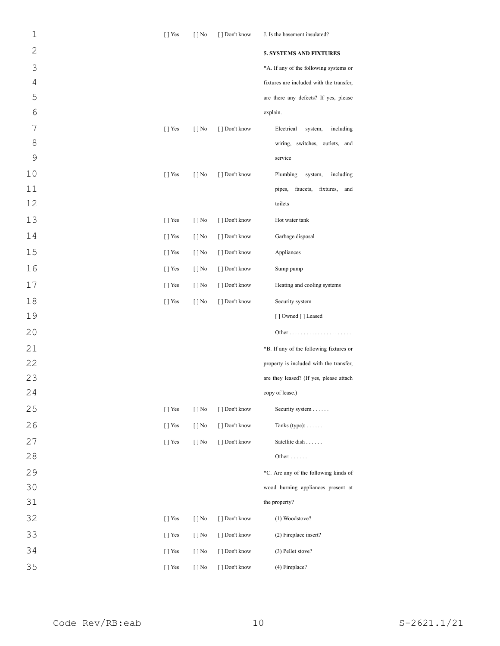| $\mathbf 1$    | [] Yes         | $[ ]$ No | [ ] Don't know | J. Is the basement insulated?            |
|----------------|----------------|----------|----------------|------------------------------------------|
| $\mathbf 2$    |                |          |                | 5. SYSTEMS AND FIXTURES                  |
| 3              |                |          |                | *A. If any of the following systems or   |
| $\overline{4}$ |                |          |                | fixtures are included with the transfer, |
| 5              |                |          |                | are there any defects? If yes, please    |
| 6              |                |          |                | explain.                                 |
| 7              | [ ] Yes        | $[ ]$ No | [ ] Don't know | Electrical<br>system,<br>including       |
| 8              |                |          |                | wiring, switches, outlets, and           |
| $\mathsf 9$    |                |          |                | service                                  |
| 10             | [ ] Yes        | $[ ]$ No | [ ] Don't know | Plumbing<br>system,<br>including         |
| 11             |                |          |                | faucets, fixtures,<br>pipes,<br>and      |
| 12             |                |          |                | toilets                                  |
| 13             | $[$ T Yes      | $[ ]$ No | [ ] Don't know | Hot water tank                           |
| 14             | $[$ T Yes      | $[ ]$ No | [ ] Don't know | Garbage disposal                         |
| 15             | $\lceil$   Yes | $[ ]$ No | [ ] Don't know | Appliances                               |
| 16             | $[$ T Yes      | $[ ]$ No | [ ] Don't know | Sump pump                                |
| 17             | $[$ T Yes      | $[ ]$ No | [ ] Don't know | Heating and cooling systems              |
| 18             | [ ] Yes        | $[ ]$ No | [ ] Don't know | Security system                          |
| 19             |                |          |                | [] Owned [] Leased                       |
| 20             |                |          |                |                                          |
| 21             |                |          |                | *B. If any of the following fixtures or  |
| 22             |                |          |                | property is included with the transfer,  |
| 23             |                |          |                | are they leased? (If yes, please attach  |
| 24             |                |          |                | copy of lease.)                          |
| 25             | [ ] Yes        | $[ ]$ No | [ ] Don't know | Security system                          |
| 26             | $[$ T Yes      | $[ ]$ No | [ ] Don't know | Tanks (type): $\dots$                    |
| 27             | [ ] Yes        | $[ ]$ No | [] Don't know  | Satellite dish                           |
| 28             |                |          |                | Other: $\dots$                           |
| 29             |                |          |                | *C. Are any of the following kinds of    |
| 30             |                |          |                | wood burning appliances present at       |
| 31             |                |          |                | the property?                            |
| 32             | [ ] Yes        | $[ ]$ No | [ ] Don't know | (1) Woodstove?                           |
| 33             | $[$ T Yes      | $[ ]$ No | [ ] Don't know | (2) Fireplace insert?                    |
| 34             | [ ] Yes        | $[ ]$ No | [ ] Don't know | (3) Pellet stove?                        |
| 35             | [ ] Yes        | $[ ]$ No | [ ] Don't know | (4) Fireplace?                           |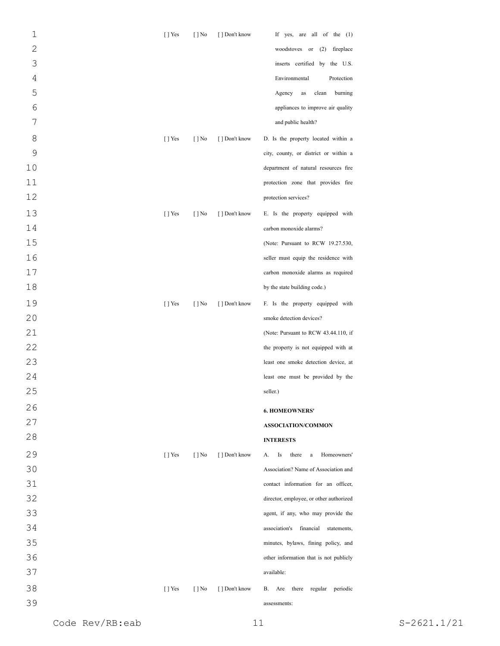| $\mathbf 1$    | $[ ]$ Yes | $[ ]$ No                 | [] Don't know  | If yes, are all of the $(1)$                     |
|----------------|-----------|--------------------------|----------------|--------------------------------------------------|
| $\overline{c}$ |           |                          |                | woodstoves or (2) fireplace                      |
| 3              |           |                          |                | inserts certified by the U.S.                    |
| $\sqrt{4}$     |           |                          |                | Environmental<br>Protection                      |
| 5              |           |                          |                | Agency<br>clean<br>burning<br>as                 |
| 6              |           |                          |                | appliances to improve air quality                |
| 7              |           |                          |                | and public health?                               |
| 8              | $[$ T Yes | $\lceil \cdot \rceil$ No | [ ] Don't know | D. Is the property located within a              |
| 9              |           |                          |                | city, county, or district or within a            |
| 10             |           |                          |                | department of natural resources fire             |
| 11             |           |                          |                | protection zone that provides fire               |
| 12             |           |                          |                | protection services?                             |
| 13             | $[$ T Yes | $\lceil \cdot \rceil$ No | [ ] Don't know | E. Is the property equipped with                 |
| 14             |           |                          |                | carbon monoxide alarms?                          |
| 15             |           |                          |                | (Note: Pursuant to RCW 19.27.530,                |
| 16             |           |                          |                | seller must equip the residence with             |
| 17             |           |                          |                | carbon monoxide alarms as required               |
| 18             |           |                          |                | by the state building code.)                     |
| 19             | $[$ T Yes | $[ ]$ No                 | [ ] Don't know | F. Is the property equipped with                 |
| 20             |           |                          |                | smoke detection devices?                         |
| 21             |           |                          |                | (Note: Pursuant to RCW 43.44.110, if             |
| 22             |           |                          |                | the property is not equipped with at             |
| 23             |           |                          |                | least one smoke detection device, at             |
| 24             |           |                          |                | least one must be provided by the                |
| 25             |           |                          |                | seller.)                                         |
| 26             |           |                          |                | <b>6. HOMEOWNERS'</b>                            |
| 27             |           |                          |                | ASSOCIATION/COMMON                               |
| 28             |           |                          |                | <b>INTERESTS</b>                                 |
| 29             | $[$ T Yes | $\lceil \cdot \rceil$ No | [ ] Don't know | Is<br>Homeowners'<br>А.<br>there<br>$\mathbf{a}$ |
| 30             |           |                          |                | Association? Name of Association and             |
| 31             |           |                          |                | contact information for an officer,              |
| 32             |           |                          |                | director, employee, or other authorized          |
| 33             |           |                          |                | agent, if any, who may provide the               |
| 34             |           |                          |                | association's<br>financial<br>statements,        |
| 35             |           |                          |                | minutes, bylaws, fining policy, and              |
| 36             |           |                          |                | other information that is not publicly           |
| 37             |           |                          |                | available:                                       |
| 38             | $[$ ] Yes | $\lceil \cdot \rceil$ No | [ ] Don't know | there regular periodic<br>В.<br>Are              |
| 39             |           |                          |                | assessments:                                     |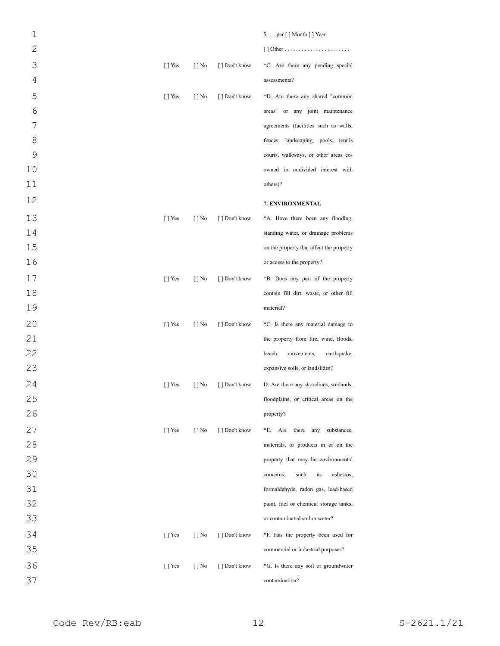| $\mathbf{1}$   |           |                          |                | \$ per [ ] Month [ ] Year                |
|----------------|-----------|--------------------------|----------------|------------------------------------------|
| $\mathbf{2}$   |           |                          |                |                                          |
| 3              | $[$ ] Yes | $\lceil \cdot \rceil$ No | [ ] Don't know | *C. Are there any pending special        |
| $\overline{4}$ |           |                          |                | assessments?                             |
| 5              | $[$ T Yes | $\lceil \cdot \rceil$ No | [ ] Don't know | *D. Are there any shared "common         |
| 6              |           |                          |                | areas" or any joint maintenance          |
| 7              |           |                          |                | agreements (facilities such as walls,    |
| 8              |           |                          |                | fences, landscaping, pools, tennis       |
| 9              |           |                          |                | courts, walkways, or other areas co-     |
| 10             |           |                          |                | owned in undivided interest with         |
| 11             |           |                          |                | others)?                                 |
| 12             |           |                          |                | 7. ENVIRONMENTAL                         |
| 13             | $[$ T Yes | $[ ]$ No                 | [] Don't know  | *A. Have there been any flooding,        |
| 14             |           |                          |                | standing water, or drainage problems     |
| 15             |           |                          |                | on the property that affect the property |
| 16             |           |                          |                | or access to the property?               |
| 17             | $[$ T Yes | $[ ]$ No                 | [] Don't know  | *B. Does any part of the property        |
| 18             |           |                          |                | contain fill dirt, waste, or other fill  |
| 19             |           |                          |                | material?                                |
| 20             | $[$ T Yes | $\lceil \cdot \rceil$ No | [] Don't know  | *C. Is there any material damage to      |
| 21             |           |                          |                | the property from fire, wind, floods,    |
| 22             |           |                          |                | beach<br>movements,<br>earthquake,       |
| 23             |           |                          |                | expansive soils, or landslides?          |
| 24             | $[$ T Yes | $[$ ] No                 | [] Don't know  | D. Are there any shorelines, wetlands,   |
| 25             |           |                          |                | floodplains, or critical areas on the    |
| 26             |           |                          |                | property?                                |
| 27             | $[$ ] Yes | $\lceil \cdot \rceil$ No | [] Don't know  | *E. Are there any<br>substances,         |
| 28             |           |                          |                | materials, or products in or on the      |
| 29             |           |                          |                | property that may be environmental       |
| 30             |           |                          |                | such<br>asbestos,<br>concerns,<br>as     |
| 31             |           |                          |                | formaldehyde, radon gas, lead-based      |
| 32             |           |                          |                | paint, fuel or chemical storage tanks,   |
| 33             |           |                          |                | or contaminated soil or water?           |
| 34             | $[$ T Yes | $\lceil \cdot \rceil$ No | [ ] Don't know | *F. Has the property been used for       |
| 35             |           |                          |                | commercial or industrial purposes?       |
| 36             | $[$ T Yes | $[ ]$ No                 | [ ] Don't know | *G. Is there any soil or groundwater     |
| 37             |           |                          |                | contamination?                           |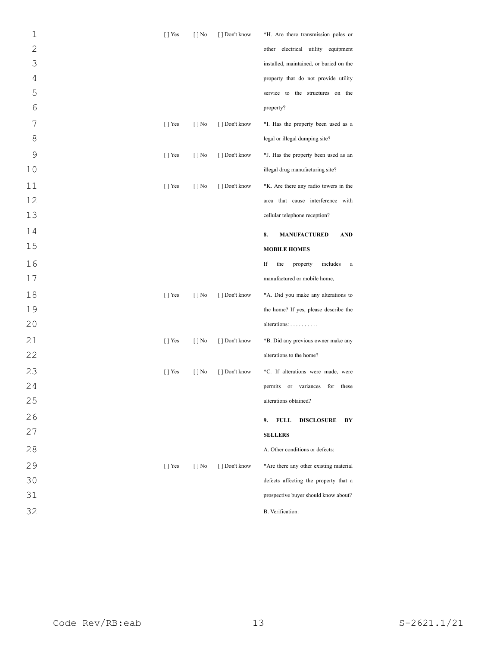| $\mathbf 1$     | $[$ T Yes      | $[ ]$ No                 | [] Don't know  | *H. Are there transmission poles or          |
|-----------------|----------------|--------------------------|----------------|----------------------------------------------|
| $\overline{c}$  |                |                          |                | other electrical utility equipment           |
| 3               |                |                          |                | installed, maintained, or buried on the      |
| 4               |                |                          |                | property that do not provide utility         |
| 5               |                |                          |                | service to the structures on the             |
| $6\phantom{1}6$ |                |                          |                | property?                                    |
| 7               | $[$ T Yes      | $\lceil \cdot \rceil$ No | [] Don't know  | *I. Has the property been used as a          |
| 8               |                |                          |                | legal or illegal dumping site?               |
| 9               | $[$ T Yes      | $\lceil \cdot \rceil$ No | [ ] Don't know | *J. Has the property been used as an         |
| 10              |                |                          |                | illegal drug manufacturing site?             |
| 11              | $[$ T Yes      | $[ ]$ No                 | [ ] Don't know | *K. Are there any radio towers in the        |
| 12              |                |                          |                | area that cause interference with            |
| 13              |                |                          |                | cellular telephone reception?                |
| 14              |                |                          |                | 8.<br><b>MANUFACTURED</b><br><b>AND</b>      |
| 15              |                |                          |                | <b>MOBILE HOMES</b>                          |
| 16              |                |                          |                | If<br>the<br>includes<br>property<br>a       |
| $17$            |                |                          |                | manufactured or mobile home,                 |
| 18              | $[$ T Yes      | $\lceil \cdot \rceil$ No | [ ] Don't know | *A. Did you make any alterations to          |
| 19              |                |                          |                | the home? If yes, please describe the        |
| 20              |                |                          |                | alterations:                                 |
| 21              | $[$ T Yes      | $[ ]$ No                 | [ ] Don't know | *B. Did any previous owner make any          |
| 22              |                |                          |                | alterations to the home?                     |
| 23              | $\lceil$   Yes | $[ ]$ No                 | [ ] Don't know | *C. If alterations were made, were           |
| 24              |                |                          |                | permits<br>variances<br>for<br>these<br>or   |
| 25              |                |                          |                | alterations obtained?                        |
| 26              |                |                          |                | 9.<br><b>FULL</b><br>BY<br><b>DISCLOSURE</b> |
| 27              |                |                          |                | <b>SELLERS</b>                               |
| 28              |                |                          |                | A. Other conditions or defects:              |
| 29              | [ ] Yes        | $[$   No                 | [ ] Don't know | *Are there any other existing material       |
| 30              |                |                          |                | defects affecting the property that a        |
| 31              |                |                          |                | prospective buyer should know about?         |
| 32              |                |                          |                | B. Verification:                             |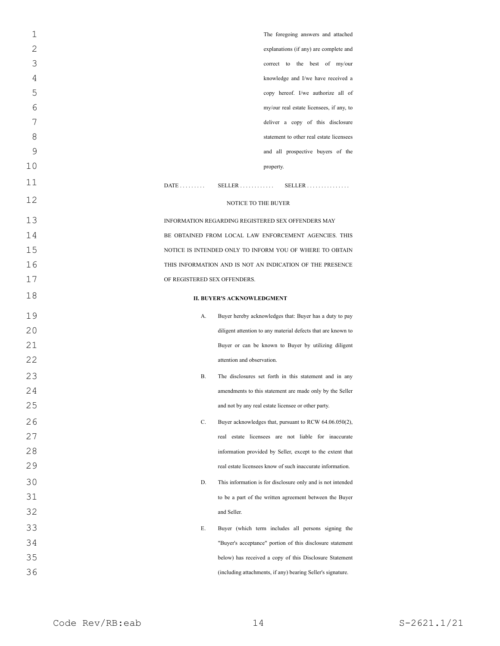| $\mathbf 1$ | The foregoing answers and attached                                  |
|-------------|---------------------------------------------------------------------|
| 2           | explanations (if any) are complete and                              |
| 3           | correct to the best of my/our                                       |
| 4           | knowledge and I/we have received a                                  |
| 5           | copy hereof. I/we authorize all of                                  |
| 6           | my/our real estate licensees, if any, to                            |
| 7           | deliver a copy of this disclosure                                   |
| 8           | statement to other real estate licensees                            |
| 9           | and all prospective buyers of the                                   |
| 10          | property.                                                           |
| 11          | $DATE \ldots \ldots$<br>$SELLER$<br>$SELLER$                        |
| 12          | NOTICE TO THE BUYER                                                 |
| 13          | INFORMATION REGARDING REGISTERED SEX OFFENDERS MAY                  |
| 14          | BE OBTAINED FROM LOCAL LAW ENFORCEMENT AGENCIES. THIS               |
| 15          | NOTICE IS INTENDED ONLY TO INFORM YOU OF WHERE TO OBTAIN            |
| 16          | THIS INFORMATION AND IS NOT AN INDICATION OF THE PRESENCE           |
| 17          | OF REGISTERED SEX OFFENDERS.                                        |
| 18          | <b>II. BUYER'S ACKNOWLEDGMENT</b>                                   |
| 19          | Buyer hereby acknowledges that: Buyer has a duty to pay<br>А.       |
| 20          | diligent attention to any material defects that are known to        |
| 21          | Buyer or can be known to Buyer by utilizing diligent                |
| 22          | attention and observation.                                          |
| 23          | <b>B.</b><br>The disclosures set forth in this statement and in any |
| 24          | amendments to this statement are made only by the Seller            |
| 25          | and not by any real estate licensee or other party.                 |
| 26          | C.<br>Buyer acknowledges that, pursuant to RCW 64.06.050(2),        |
| 27          | real estate licensees are not liable for inaccurate                 |
| 28          | information provided by Seller, except to the extent that           |
| 29          | real estate licensees know of such inaccurate information.          |
| 30          | D.<br>This information is for disclosure only and is not intended   |
| 31          | to be a part of the written agreement between the Buyer             |
| 32          | and Seller.                                                         |
| 33          | Е.<br>Buyer (which term includes all persons signing the            |
| 34          | "Buyer's acceptance" portion of this disclosure statement           |
| 35          | below) has received a copy of this Disclosure Statement             |
| 36          | (including attachments, if any) bearing Seller's signature.         |
|             |                                                                     |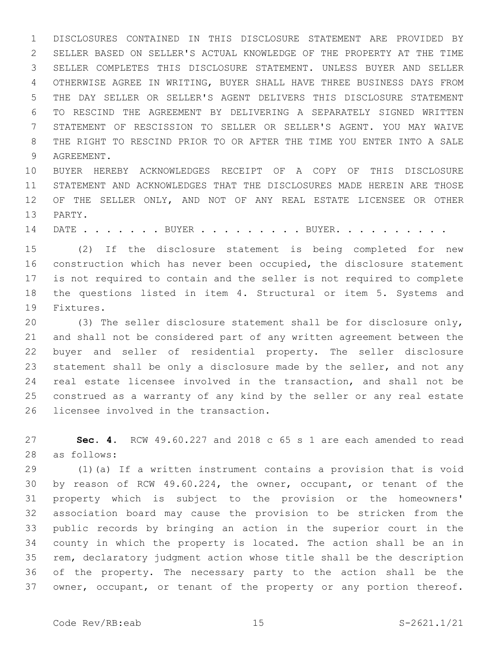DISCLOSURES CONTAINED IN THIS DISCLOSURE STATEMENT ARE PROVIDED BY SELLER BASED ON SELLER'S ACTUAL KNOWLEDGE OF THE PROPERTY AT THE TIME SELLER COMPLETES THIS DISCLOSURE STATEMENT. UNLESS BUYER AND SELLER OTHERWISE AGREE IN WRITING, BUYER SHALL HAVE THREE BUSINESS DAYS FROM THE DAY SELLER OR SELLER'S AGENT DELIVERS THIS DISCLOSURE STATEMENT TO RESCIND THE AGREEMENT BY DELIVERING A SEPARATELY SIGNED WRITTEN STATEMENT OF RESCISSION TO SELLER OR SELLER'S AGENT. YOU MAY WAIVE THE RIGHT TO RESCIND PRIOR TO OR AFTER THE TIME YOU ENTER INTO A SALE 9 AGREEMENT.

 BUYER HEREBY ACKNOWLEDGES RECEIPT OF A COPY OF THIS DISCLOSURE STATEMENT AND ACKNOWLEDGES THAT THE DISCLOSURES MADE HEREIN ARE THOSE OF THE SELLER ONLY, AND NOT OF ANY REAL ESTATE LICENSEE OR OTHER 13 PARTY.

14 DATE . . . . . . BUYER . . . . . . . . BUYER. . . . . . . . . .

 (2) If the disclosure statement is being completed for new construction which has never been occupied, the disclosure statement is not required to contain and the seller is not required to complete 18 the questions listed in item 4. Structural or item 5. Systems and 19 Fixtures.

 (3) The seller disclosure statement shall be for disclosure only, and shall not be considered part of any written agreement between the buyer and seller of residential property. The seller disclosure 23 statement shall be only a disclosure made by the seller, and not any real estate licensee involved in the transaction, and shall not be construed as a warranty of any kind by the seller or any real estate 26 licensee involved in the transaction.

 **Sec. 4.** RCW 49.60.227 and 2018 c 65 s 1 are each amended to read as follows:28

 (1)(a) If a written instrument contains a provision that is void by reason of RCW 49.60.224, the owner, occupant, or tenant of the property which is subject to the provision or the homeowners' association board may cause the provision to be stricken from the public records by bringing an action in the superior court in the county in which the property is located. The action shall be an in rem, declaratory judgment action whose title shall be the description of the property. The necessary party to the action shall be the 37 owner, occupant, or tenant of the property or any portion thereof.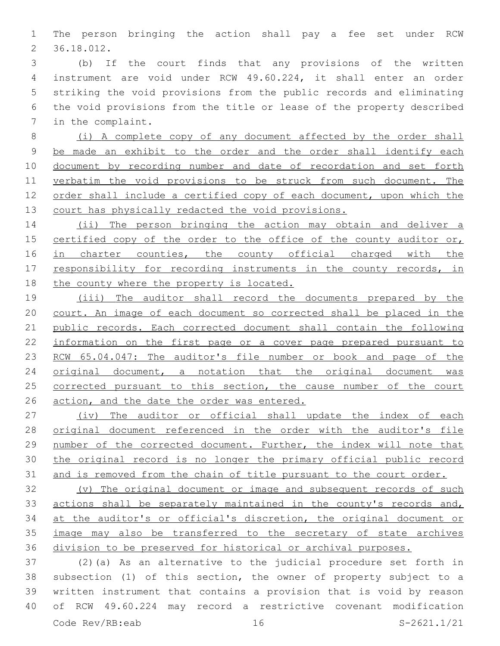The person bringing the action shall pay a fee set under RCW 36.18.012.2

 (b) If the court finds that any provisions of the written instrument are void under RCW 49.60.224, it shall enter an order striking the void provisions from the public records and eliminating the void provisions from the title or lease of the property described 7 in the complaint.

 (i) A complete copy of any document affected by the order shall be made an exhibit to the order and the order shall identify each 10 document by recording number and date of recordation and set forth 11 verbatim the void provisions to be struck from such document. The order shall include a certified copy of each document, upon which the court has physically redacted the void provisions.

14 (ii) The person bringing the action may obtain and deliver a 15 certified copy of the order to the office of the county auditor or, 16 in charter counties, the county official charged with the 17 responsibility for recording instruments in the county records, in 18 the county where the property is located.

 (iii) The auditor shall record the documents prepared by the court. An image of each document so corrected shall be placed in the public records. Each corrected document shall contain the following information on the first page or a cover page prepared pursuant to 23 RCW 65.04.047: The auditor's file number or book and page of the 24 original document, a notation that the original document was corrected pursuant to this section, the cause number of the court action, and the date the order was entered.

 (iv) The auditor or official shall update the index of each original document referenced in the order with the auditor's file number of the corrected document. Further, the index will note that the original record is no longer the primary official public record 31 and is removed from the chain of title pursuant to the court order.

 (v) The original document or image and subsequent records of such actions shall be separately maintained in the county's records and, at the auditor's or official's discretion, the original document or image may also be transferred to the secretary of state archives division to be preserved for historical or archival purposes.

 (2)(a) As an alternative to the judicial procedure set forth in subsection (1) of this section, the owner of property subject to a written instrument that contains a provision that is void by reason of RCW 49.60.224 may record a restrictive covenant modification Code Rev/RB:eab 16 S-2621.1/21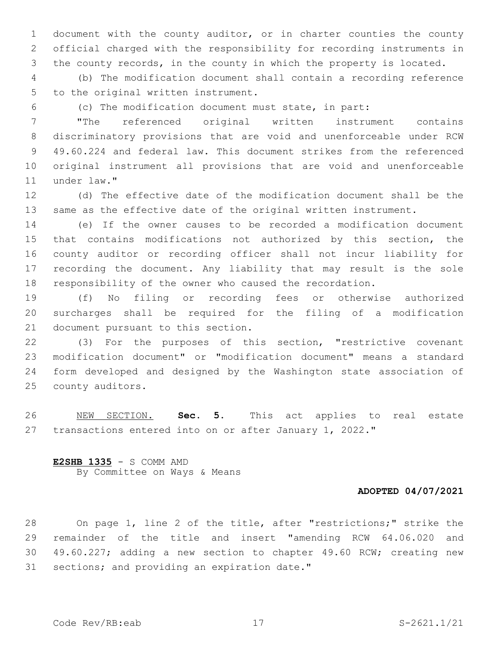document with the county auditor, or in charter counties the county official charged with the responsibility for recording instruments in the county records, in the county in which the property is located.

 (b) The modification document shall contain a recording reference 5 to the original written instrument.

(c) The modification document must state, in part:

 "The referenced original written instrument contains discriminatory provisions that are void and unenforceable under RCW 49.60.224 and federal law. This document strikes from the referenced original instrument all provisions that are void and unenforceable 11 under law."

 (d) The effective date of the modification document shall be the same as the effective date of the original written instrument.

 (e) If the owner causes to be recorded a modification document that contains modifications not authorized by this section, the county auditor or recording officer shall not incur liability for recording the document. Any liability that may result is the sole responsibility of the owner who caused the recordation.

 (f) No filing or recording fees or otherwise authorized surcharges shall be required for the filing of a modification 21 document pursuant to this section.

 (3) For the purposes of this section, "restrictive covenant modification document" or "modification document" means a standard form developed and designed by the Washington state association of 25 county auditors.

 NEW SECTION. **Sec. 5.** This act applies to real estate transactions entered into on or after January 1, 2022."

## **E2SHB 1335** - S COMM AMD By Committee on Ways & Means

## **ADOPTED 04/07/2021**

 On page 1, line 2 of the title, after "restrictions;" strike the remainder of the title and insert "amending RCW 64.06.020 and 49.60.227; adding a new section to chapter 49.60 RCW; creating new 31 sections; and providing an expiration date."